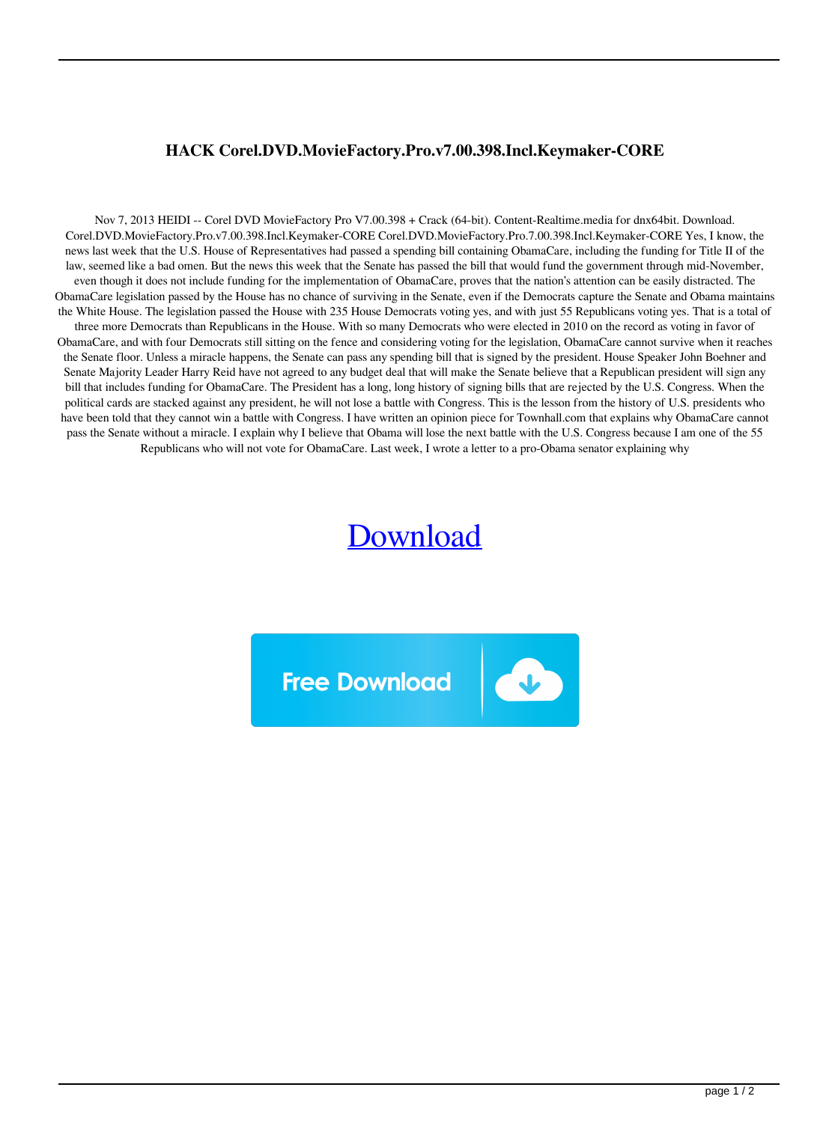## **HACK Corel.DVD.MovieFactory.Pro.v7.00.398.Incl.Keymaker-CORE**

Nov 7, 2013 HEIDI -- Corel DVD MovieFactory Pro V7.00.398 + Crack (64-bit). Content-Realtime.media for dnx64bit. Download. Corel.DVD.MovieFactory.Pro.v7.00.398.Incl.Keymaker-CORE Corel.DVD.MovieFactory.Pro.7.00.398.Incl.Keymaker-CORE Yes, I know, the news last week that the U.S. House of Representatives had passed a spending bill containing ObamaCare, including the funding for Title II of the law, seemed like a bad omen. But the news this week that the Senate has passed the bill that would fund the government through mid-November, even though it does not include funding for the implementation of ObamaCare, proves that the nation's attention can be easily distracted. The ObamaCare legislation passed by the House has no chance of surviving in the Senate, even if the Democrats capture the Senate and Obama maintains the White House. The legislation passed the House with 235 House Democrats voting yes, and with just 55 Republicans voting yes. That is a total of three more Democrats than Republicans in the House. With so many Democrats who were elected in 2010 on the record as voting in favor of ObamaCare, and with four Democrats still sitting on the fence and considering voting for the legislation, ObamaCare cannot survive when it reaches the Senate floor. Unless a miracle happens, the Senate can pass any spending bill that is signed by the president. House Speaker John Boehner and Senate Majority Leader Harry Reid have not agreed to any budget deal that will make the Senate believe that a Republican president will sign any bill that includes funding for ObamaCare. The President has a long, long history of signing bills that are rejected by the U.S. Congress. When the political cards are stacked against any president, he will not lose a battle with Congress. This is the lesson from the history of U.S. presidents who have been told that they cannot win a battle with Congress. I have written an opinion piece for Townhall.com that explains why ObamaCare cannot pass the Senate without a miracle. I explain why I believe that Obama will lose the next battle with the U.S. Congress because I am one of the 55 Republicans who will not vote for ObamaCare. Last week, I wrote a letter to a pro-Obama senator explaining why

## [Download](http://evacdir.com/nlhe/ZG93bmxvYWR8NFZuTVhGdU1ueDhNVFkxTWpjME1EZzJObng4TWpVM05IeDhLRTBwSUhKbFlXUXRZbXh2WnlCYlJtRnpkQ0JIUlU1ZA.reschedule&sdga=boon&SEFDSyBDb3JlbC5EVkQuTW92aWVGYWN0b3J5LlByby52Ny4wMC4zOTguSW5jbC5LZXltYWtlci1DT1JFSEF=theory)

E

**Free Download**